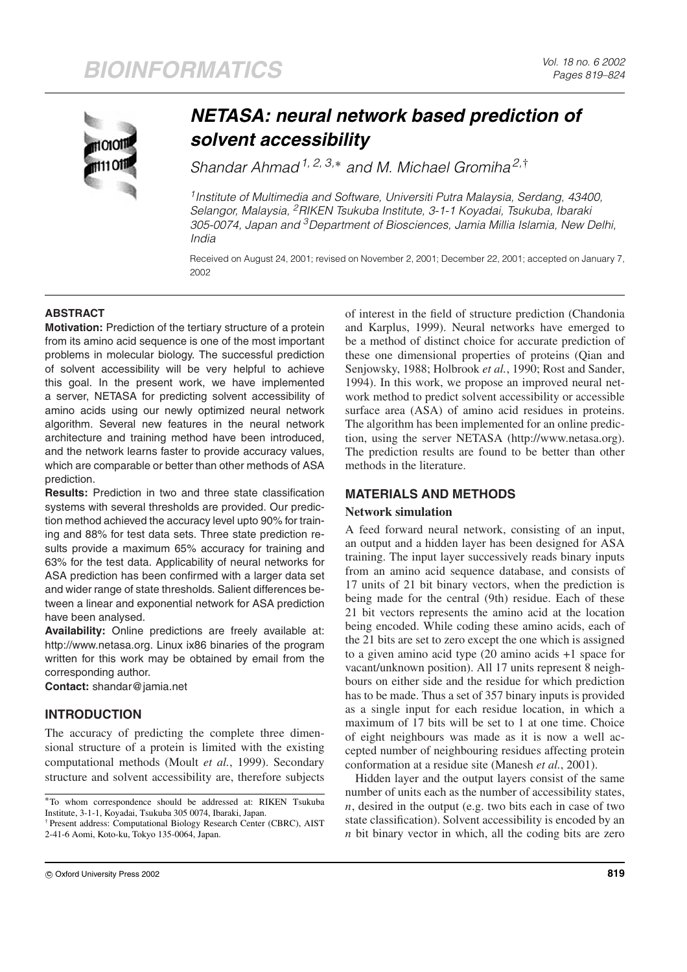

# *NETASA: neural network based prediction of solvent accessibility*

Shandar Ahmad<sup>1, 2, 3,\*</sup> and M. Michael Gromiha<sup>2,†</sup>

<sup>1</sup> Institute of Multimedia and Software, Universiti Putra Malaysia, Serdang, 43400, Selangor, Malaysia, <sup>2</sup>RIKEN Tsukuba Institute, 3-1-1 Koyadai, Tsukuba, Ibaraki 305-0074, Japan and <sup>3</sup>Department of Biosciences, Jamia Millia Islamia, New Delhi, India

Received on August 24, 2001; revised on November 2, 2001; December 22, 2001; accepted on January 7, 2002

## **ABSTRACT**

**Motivation:** Prediction of the tertiary structure of a protein from its amino acid sequence is one of the most important problems in molecular biology. The successful prediction of solvent accessibility will be very helpful to achieve this goal. In the present work, we have implemented a server, NETASA for predicting solvent accessibility of amino acids using our newly optimized neural network algorithm. Several new features in the neural network architecture and training method have been introduced, and the network learns faster to provide accuracy values, which are comparable or better than other methods of ASA prediction.

**Results:** Prediction in two and three state classification systems with several thresholds are provided. Our prediction method achieved the accuracy level upto 90% for training and 88% for test data sets. Three state prediction results provide a maximum 65% accuracy for training and 63% for the test data. Applicability of neural networks for ASA prediction has been confirmed with a larger data set and wider range of state thresholds. Salient differences between a linear and exponential network for ASA prediction have been analysed.

**Availability:** Online predictions are freely available at: http://www.netasa.org. Linux ix86 binaries of the program written for this work may be obtained by email from the corresponding author.

**Contact:** shandar@jamia.net

# **INTRODUCTION**

The accuracy of predicting the complete three dimensional structure of a protein is limited with the existing computational methods (Moult *et al.*, 1999). Secondary structure and solvent accessibility are, therefore subjects

† Present address: Computational Biology Research Center (CBRC), AIST 2-41-6 Aomi, Koto-ku, Tokyo 135-0064, Japan.

of interest in the field of structure prediction (Chandonia and Karplus, 1999). Neural networks have emerged to be a method of distinct choice for accurate prediction of these one dimensional properties of proteins (Qian and Senjowsky, 1988; Holbrook *et al.*, 1990; Rost and Sander, 1994). In this work, we propose an improved neural network method to predict solvent accessibility or accessible surface area (ASA) of amino acid residues in proteins. The algorithm has been implemented for an online prediction, using the server NETASA (http://www.netasa.org). The prediction results are found to be better than other methods in the literature.

# **MATERIALS AND METHODS**

## **Network simulation**

A feed forward neural network, consisting of an input, an output and a hidden layer has been designed for ASA training. The input layer successively reads binary inputs from an amino acid sequence database, and consists of 17 units of 21 bit binary vectors, when the prediction is being made for the central (9th) residue. Each of these 21 bit vectors represents the amino acid at the location being encoded. While coding these amino acids, each of the 21 bits are set to zero except the one which is assigned to a given amino acid type (20 amino acids +1 space for vacant/unknown position). All 17 units represent 8 neighbours on either side and the residue for which prediction has to be made. Thus a set of 357 binary inputs is provided as a single input for each residue location, in which a maximum of 17 bits will be set to 1 at one time. Choice of eight neighbours was made as it is now a well accepted number of neighbouring residues affecting protein conformation at a residue site (Manesh *et al.*, 2001).

Hidden layer and the output layers consist of the same number of units each as the number of accessibility states, *n*, desired in the output (e.g. two bits each in case of two state classification). Solvent accessibility is encoded by an *n* bit binary vector in which, all the coding bits are zero

<sup>∗</sup>To whom correspondence should be addressed at: RIKEN Tsukuba Institute, 3-1-1, Koyadai, Tsukuba 305 0074, Ibaraki, Japan.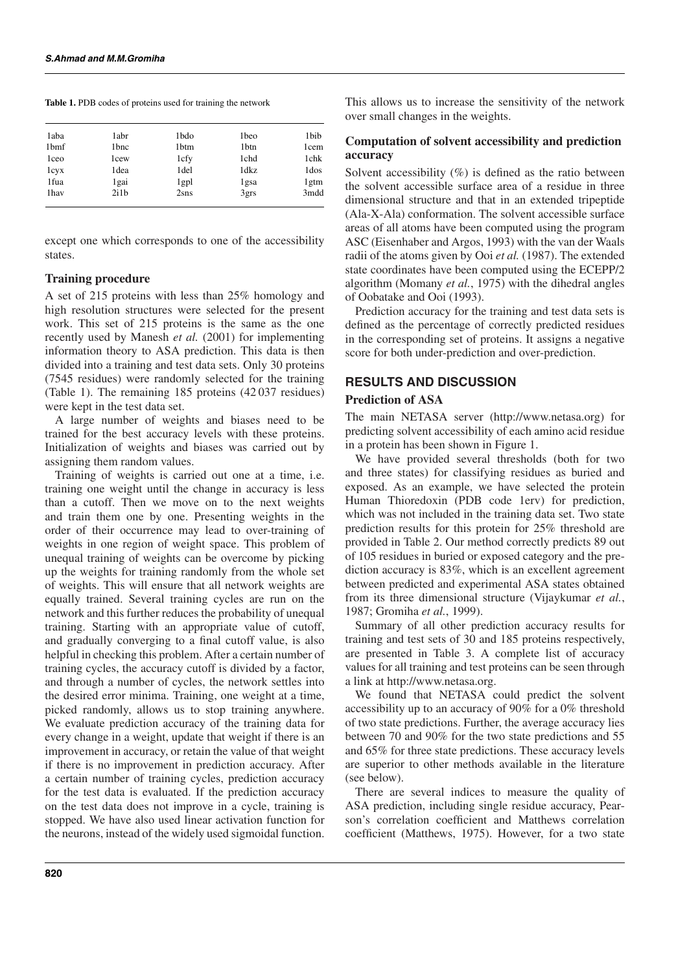**Table 1.** PDB codes of proteins used for training the network

| 1aba | 1abr | 1bdo          | 1beo | 1bib             |
|------|------|---------------|------|------------------|
| 1bmf | 1bnc | 1btm          | 1btn | 1cem             |
| 1ceo | 1cew | 1cfy          | 1chd | 1chk             |
| 1cyx | 1dea | 1del          | 1dkz | 1 <sub>dos</sub> |
| 1fua | 1gai | $1$ gp $1$    | 1gsa | 1 <sub>gtm</sub> |
| 1hav | 2i1b | 2 <i>s</i> ns | 3grs | 3mdd             |
|      |      |               |      |                  |

except one which corresponds to one of the accessibility states.

#### **Training procedure**

A set of 215 proteins with less than 25% homology and high resolution structures were selected for the present work. This set of 215 proteins is the same as the one recently used by Manesh *et al.* (2001) for implementing information theory to ASA prediction. This data is then divided into a training and test data sets. Only 30 proteins (7545 residues) were randomly selected for the training (Table 1). The remaining 185 proteins (42 037 residues) were kept in the test data set.

A large number of weights and biases need to be trained for the best accuracy levels with these proteins. Initialization of weights and biases was carried out by assigning them random values.

Training of weights is carried out one at a time, i.e. training one weight until the change in accuracy is less than a cutoff. Then we move on to the next weights and train them one by one. Presenting weights in the order of their occurrence may lead to over-training of weights in one region of weight space. This problem of unequal training of weights can be overcome by picking up the weights for training randomly from the whole set of weights. This will ensure that all network weights are equally trained. Several training cycles are run on the network and this further reduces the probability of unequal training. Starting with an appropriate value of cutoff, and gradually converging to a final cutoff value, is also helpful in checking this problem. After a certain number of training cycles, the accuracy cutoff is divided by a factor, and through a number of cycles, the network settles into the desired error minima. Training, one weight at a time, picked randomly, allows us to stop training anywhere. We evaluate prediction accuracy of the training data for every change in a weight, update that weight if there is an improvement in accuracy, or retain the value of that weight if there is no improvement in prediction accuracy. After a certain number of training cycles, prediction accuracy for the test data is evaluated. If the prediction accuracy on the test data does not improve in a cycle, training is stopped. We have also used linear activation function for the neurons, instead of the widely used sigmoidal function.

This allows us to increase the sensitivity of the network over small changes in the weights.

#### **Computation of solvent accessibility and prediction accuracy**

Solvent accessibility (%) is defined as the ratio between the solvent accessible surface area of a residue in three dimensional structure and that in an extended tripeptide (Ala-X-Ala) conformation. The solvent accessible surface areas of all atoms have been computed using the program ASC (Eisenhaber and Argos, 1993) with the van der Waals radii of the atoms given by Ooi *et al.* (1987). The extended state coordinates have been computed using the ECEPP/2 algorithm (Momany *et al.*, 1975) with the dihedral angles of Oobatake and Ooi (1993).

Prediction accuracy for the training and test data sets is defined as the percentage of correctly predicted residues in the corresponding set of proteins. It assigns a negative score for both under-prediction and over-prediction.

#### **RESULTS AND DISCUSSION**

## **Prediction of ASA**

The main NETASA server (http://www.netasa.org) for predicting solvent accessibility of each amino acid residue in a protein has been shown in Figure 1.

We have provided several thresholds (both for two and three states) for classifying residues as buried and exposed. As an example, we have selected the protein Human Thioredoxin (PDB code 1erv) for prediction, which was not included in the training data set. Two state prediction results for this protein for 25% threshold are provided in Table 2. Our method correctly predicts 89 out of 105 residues in buried or exposed category and the prediction accuracy is 83%, which is an excellent agreement between predicted and experimental ASA states obtained from its three dimensional structure (Vijaykumar *et al.*, 1987; Gromiha *et al.*, 1999).

Summary of all other prediction accuracy results for training and test sets of 30 and 185 proteins respectively, are presented in Table 3. A complete list of accuracy values for all training and test proteins can be seen through a link at http://www.netasa.org.

We found that NETASA could predict the solvent accessibility up to an accuracy of 90% for a 0% threshold of two state predictions. Further, the average accuracy lies between 70 and 90% for the two state predictions and 55 and 65% for three state predictions. These accuracy levels are superior to other methods available in the literature (see below).

There are several indices to measure the quality of ASA prediction, including single residue accuracy, Pearson's correlation coefficient and Matthews correlation coefficient (Matthews, 1975). However, for a two state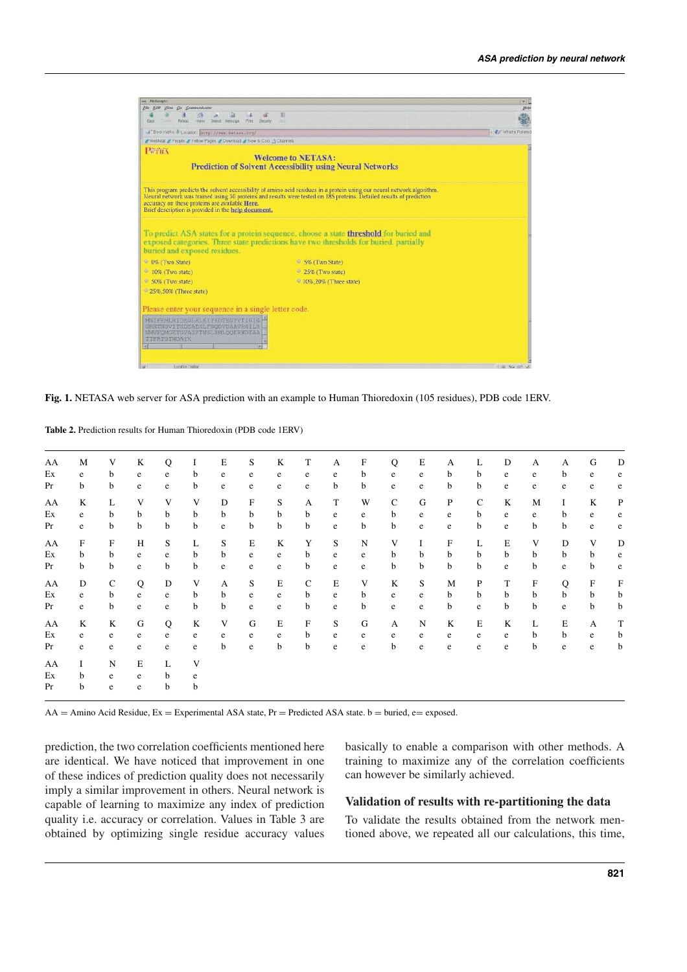| <b>STATISTICS</b>                                                                                                         |                                                                                                                                                                                                                                                 | <b>The County</b>   |
|---------------------------------------------------------------------------------------------------------------------------|-------------------------------------------------------------------------------------------------------------------------------------------------------------------------------------------------------------------------------------------------|---------------------|
| Elle Edit View Go Communicator<br>ïы<br>K                                                                                 | 泪                                                                                                                                                                                                                                               | <b>BMW</b>          |
| Hime Statch Nationale. Print. Security<br>filments Rebord<br><b>Back</b>                                                  | $-30 +$                                                                                                                                                                                                                                         |                     |
| "Bookmarks & Location Busspr / / www.netexe.srg/                                                                          |                                                                                                                                                                                                                                                 | - C What's Related  |
| / Weblize / People / Yellow Pages / Download / New & Cool & Channels                                                      |                                                                                                                                                                                                                                                 |                     |
| PUTRA                                                                                                                     | <b>Welcome to NETASA:</b><br><b>Prediction of Solvent Accessibility using Neural Networks</b>                                                                                                                                                   |                     |
| accuracy on these proteins are available Here.<br>Brief description is provided in the help document.                     | This program predicts the solvent accessibility of amino acid residues in a protein using our neural network algorithm.<br>Neural network was trained using 30 proteins and results were tested on 185 proteins. Detailed results of prediction |                     |
| buried and exposed residues.                                                                                              | To predict ASA states for a protein sequence, choose a state <b>threshold</b> for buried and<br>exposed categories. Three state predictions have two thresholds for buried, partially                                                           |                     |
| <b>C</b> 0% (Two State)                                                                                                   | 5% (Two State)                                                                                                                                                                                                                                  |                     |
| o<br>10% (Two state)                                                                                                      | 25% (Two state)                                                                                                                                                                                                                                 |                     |
| 50% (Two state)                                                                                                           | • 10%, 20% (Three state)                                                                                                                                                                                                                        |                     |
| 25%,50% (Three state)                                                                                                     |                                                                                                                                                                                                                                                 |                     |
| Please enter your sequence in a single letter code.                                                                       |                                                                                                                                                                                                                                                 |                     |
| MNIFEMLRIDEGLRLKIYKDTEGYYTIGIG<br>GRNTNGVITKDEAEKLFNODVDAAVRGILR<br><b>NMVFOMGETGVAGFTNSLRMLOOKRWDEAA</b><br>TTFRIGTMEATK |                                                                                                                                                                                                                                                 |                     |
| Lucizian Toolbar                                                                                                          |                                                                                                                                                                                                                                                 | <b>ITIL KAYMING</b> |

**Fig. 1.** NETASA web server for ASA prediction with an example to Human Thioredoxin (105 residues), PDB code 1ERV.

**Table 2.** Prediction results for Human Thioredoxin (PDB code 1ERV)

| AA | M                         | V            | K            | Q           | Ι | E | S           | K           | T            | A           | F           | Q            | E           | А            | L            | D           | A         | A           | G            | D           |
|----|---------------------------|--------------|--------------|-------------|---|---|-------------|-------------|--------------|-------------|-------------|--------------|-------------|--------------|--------------|-------------|-----------|-------------|--------------|-------------|
| Ex | e                         | b            | e            | e           | b | e | e           | e           | e            | e           | b           | e            | e           | b            | $\mathbf b$  | $\rm e$     | e         | b           | e            | e           |
| Pr | b                         | b            | e            | e           | b | e | e           | e           | e            | b           | b           | e            | e           | b            | b            | e           | e         | e           | e            | e           |
| AA | K                         | L            | V            | V           | V | D | F           | S           | A            | T           | W           | $\mathsf{C}$ | $\mathbf G$ | $\mathbf{P}$ | $\mathsf{C}$ | K           | M         | $\mathbf I$ | K            | $\mathbf P$ |
| Ex | e                         | b            | b            | b           | b | b | $\mathbf b$ | $\mathbf b$ | b            | $\mathbf e$ | e           | $\mathbf b$  | ${\bf e}$   | e            | $\mathbf b$  | ${\bf e}$   | e         | b           | ${\bf e}$    | $\rm e$     |
| Pr | e                         | b            | b            | $\mathbf b$ | b | e | b           | $\mathbf b$ | $\mathbf b$  | $\rm e$     | b           | $\mathbf b$  | ${\bf e}$   | e            | $\mathbf b$  | ${\bf e}$   | b         | b           | ${\bf e}$    | e           |
| AA | $\boldsymbol{\mathrm{F}}$ | $\rm F$      | H            | S           | L | S | $\mathbf E$ | K           | Y            | S           | $\mathbf N$ | V            | $\bf{I}$    | F            | L            | $\mathbf E$ | V         | D           | V            | D           |
| Ex | $\mathbf b$               | $\mathbf b$  | $\mathbf{e}$ | e           | b | b | $\rm e$     | e           | b            | $\mathbf e$ | e           | b            | b           | b            | $\mathbf b$  | $\mathbf b$ | b         | b           | b            | $\rm e$     |
| Pr | $\mathbf b$               | b            | $\mathbf{e}$ | $\mathbf b$ | b | e | $\rm e$     | e           | b            | $\mathbf e$ | e           | $\mathbf b$  | b           | b            | $\mathbf b$  | ${\bf e}$   | b         | e           | b            | $\mathbf e$ |
| AA | ${\rm D}$                 | $\mathsf{C}$ | Q            | D           | V | A | S           | $\mathbf E$ | $\mathbf C$  | $\mathbf E$ | V           | K            | S           | M            | $\mathbf{P}$ | T           | ${\bf F}$ | ${\bf Q}$   | $\mathbf F$  | $\mathbf F$ |
| Ex | e                         | $\mathbf b$  | e            | e           | b | b | e           | e           | b            | $\rm e$     | b           | e            | e           | b            | $\mathbf b$  | b           | b         | $\mathbf b$ | $\mathbf b$  | b           |
| Pr | e                         | $\mathbf b$  | $\mathbf e$  | e           | b | b | e           | ${\bf e}$   | b            | e           | b           | e            | ${\bf e}$   | b            | e            | b           | b         | e           | b            | b           |
| AA | K                         | K            | G            | $\bf Q$     | K | V | G           | $\mathbf E$ | $\mathbf{F}$ | S           | G           | A            | N           | K            | $\mathbf E$  | K           | L         | $\mathbf E$ | $\mathbf{A}$ | $\mathbf T$ |
| Ex | e                         | e            | e            | e           | e | e | e           | e           | b            | e           | e           | e            | e           | e            | e            | $\rm e$     | b         | b           | $\rm e$      | b           |
| Pr | e                         | e            | e            | e           | e | b | e           | $\mathbf b$ | b            | e           | e           | b            | e           | e            | e            | e           | b         | e           | $\rm e$      | b           |
| AA | $\mathbf I$               | $\mathbf N$  | E            | L           | V |   |             |             |              |             |             |              |             |              |              |             |           |             |              |             |
| Ex | b                         | e            | $\mathbf e$  | b           | e |   |             |             |              |             |             |              |             |              |              |             |           |             |              |             |
| Pr | b                         | e            | e            | b           | b |   |             |             |              |             |             |              |             |              |              |             |           |             |              |             |
|    |                           |              |              |             |   |   |             |             |              |             |             |              |             |              |              |             |           |             |              |             |

 $AA = Amino Acid Residue, Ex = Experimental ASA state, Pr = Predicted ASA state. b = buried, e = exposed.$ 

prediction, the two correlation coefficients mentioned here are identical. We have noticed that improvement in one of these indices of prediction quality does not necessarily imply a similar improvement in others. Neural network is capable of learning to maximize any index of prediction quality i.e. accuracy or correlation. Values in Table 3 are obtained by optimizing single residue accuracy values

basically to enable a comparison with other methods. A training to maximize any of the correlation coefficients can however be similarly achieved.

## **Validation of results with re-partitioning the data**

To validate the results obtained from the network mentioned above, we repeated all our calculations, this time,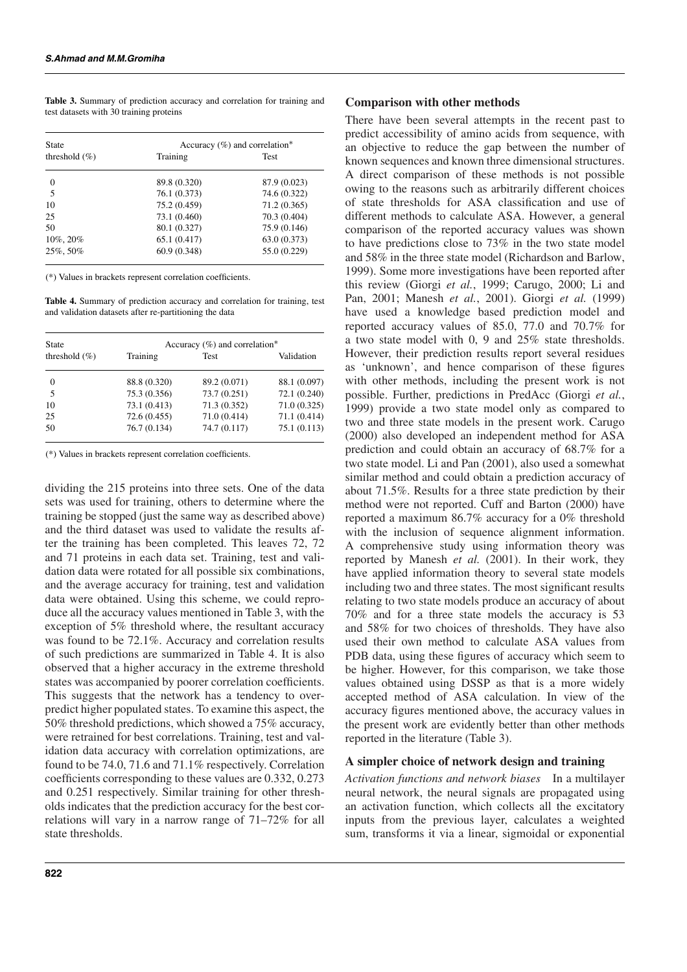**Table 3.** Summary of prediction accuracy and correlation for training and test datasets with 30 training proteins

| State             | Accuracy $(\% )$ and correlation* |              |  |  |  |  |
|-------------------|-----------------------------------|--------------|--|--|--|--|
| threshold $(\% )$ | Training                          | Test         |  |  |  |  |
| $\Omega$          | 89.8 (0.320)                      | 87.9 (0.023) |  |  |  |  |
| 5                 | 76.1 (0.373)                      | 74.6 (0.322) |  |  |  |  |
| 10                | 75.2 (0.459)                      | 71.2 (0.365) |  |  |  |  |
| 25                | 73.1 (0.460)                      | 70.3 (0.404) |  |  |  |  |
| 50                | 80.1 (0.327)                      | 75.9 (0.146) |  |  |  |  |
| 10%, 20%          | 65.1(0.417)                       | 63.0 (0.373) |  |  |  |  |
| 25%, 50%          | 60.9 (0.348)                      | 55.0 (0.229) |  |  |  |  |

(\*) Values in brackets represent correlation coefficients.

**Table 4.** Summary of prediction accuracy and correlation for training, test and validation datasets after re-partitioning the data

| <b>State</b>      | Accuracy $(\%)$ and correlation* |              |              |  |  |
|-------------------|----------------------------------|--------------|--------------|--|--|
| threshold $(\% )$ | Training                         | Test         | Validation   |  |  |
| $\Omega$          | 88.8 (0.320)                     | 89.2 (0.071) | 88.1 (0.097) |  |  |
| 5                 | 75.3 (0.356)                     | 73.7 (0.251) | 72.1 (0.240) |  |  |
| 10                | 73.1 (0.413)                     | 71.3 (0.352) | 71.0(0.325)  |  |  |
| 25                | 72.6 (0.455)                     | 71.0 (0.414) | 71.1(0.414)  |  |  |
| 50                | 76.7(0.134)                      | 74.7 (0.117) | 75.1(0.113)  |  |  |

(\*) Values in brackets represent correlation coefficients.

dividing the 215 proteins into three sets. One of the data sets was used for training, others to determine where the training be stopped (just the same way as described above) and the third dataset was used to validate the results after the training has been completed. This leaves 72, 72 and 71 proteins in each data set. Training, test and validation data were rotated for all possible six combinations, and the average accuracy for training, test and validation data were obtained. Using this scheme, we could reproduce all the accuracy values mentioned in Table 3, with the exception of 5% threshold where, the resultant accuracy was found to be 72.1%. Accuracy and correlation results of such predictions are summarized in Table 4. It is also observed that a higher accuracy in the extreme threshold states was accompanied by poorer correlation coefficients. This suggests that the network has a tendency to overpredict higher populated states. To examine this aspect, the 50% threshold predictions, which showed a 75% accuracy, were retrained for best correlations. Training, test and validation data accuracy with correlation optimizations, are found to be 74.0, 71.6 and 71.1% respectively. Correlation coefficients corresponding to these values are 0.332, 0.273 and 0.251 respectively. Similar training for other thresholds indicates that the prediction accuracy for the best correlations will vary in a narrow range of 71–72% for all state thresholds.

#### **Comparison with other methods**

There have been several attempts in the recent past to predict accessibility of amino acids from sequence, with an objective to reduce the gap between the number of known sequences and known three dimensional structures. A direct comparison of these methods is not possible owing to the reasons such as arbitrarily different choices of state thresholds for ASA classification and use of different methods to calculate ASA. However, a general comparison of the reported accuracy values was shown to have predictions close to 73% in the two state model and 58% in the three state model (Richardson and Barlow, 1999). Some more investigations have been reported after this review (Giorgi *et al.*, 1999; Carugo, 2000; Li and Pan, 2001; Manesh *et al.*, 2001). Giorgi *et al.* (1999) have used a knowledge based prediction model and reported accuracy values of 85.0, 77.0 and 70.7% for a two state model with 0, 9 and 25% state thresholds. However, their prediction results report several residues as 'unknown', and hence comparison of these figures with other methods, including the present work is not possible. Further, predictions in PredAcc (Giorgi *et al.*, 1999) provide a two state model only as compared to two and three state models in the present work. Carugo (2000) also developed an independent method for ASA prediction and could obtain an accuracy of 68.7% for a two state model. Li and Pan (2001), also used a somewhat similar method and could obtain a prediction accuracy of about 71.5%. Results for a three state prediction by their method were not reported. Cuff and Barton (2000) have reported a maximum 86.7% accuracy for a 0% threshold with the inclusion of sequence alignment information. A comprehensive study using information theory was reported by Manesh *et al.* (2001). In their work, they have applied information theory to several state models including two and three states. The most significant results relating to two state models produce an accuracy of about 70% and for a three state models the accuracy is 53 and 58% for two choices of thresholds. They have also used their own method to calculate ASA values from PDB data, using these figures of accuracy which seem to be higher. However, for this comparison, we take those values obtained using DSSP as that is a more widely accepted method of ASA calculation. In view of the accuracy figures mentioned above, the accuracy values in the present work are evidently better than other methods reported in the literature (Table 3).

#### **A simpler choice of network design and training**

*Activation functions and network biases* In a multilayer neural network, the neural signals are propagated using an activation function, which collects all the excitatory inputs from the previous layer, calculates a weighted sum, transforms it via a linear, sigmoidal or exponential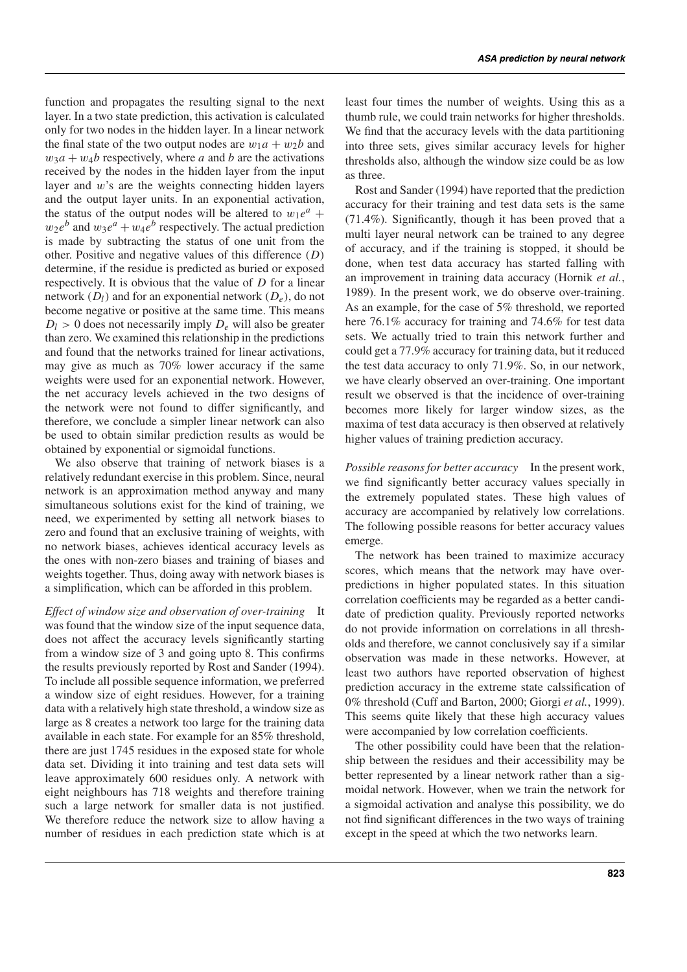function and propagates the resulting signal to the next layer. In a two state prediction, this activation is calculated only for two nodes in the hidden layer. In a linear network the final state of the two output nodes are  $w_1a + w_2b$  and  $w_3a + w_4b$  respectively, where *a* and *b* are the activations received by the nodes in the hidden layer from the input layer and w's are the weights connecting hidden layers and the output layer units. In an exponential activation, the status of the output nodes will be altered to  $w_1e^a$  +  $w_2e^b$  and  $w_3e^a + w_4e^b$  respectively. The actual prediction is made by subtracting the status of one unit from the other. Positive and negative values of this difference (*D*) determine, if the residue is predicted as buried or exposed respectively. It is obvious that the value of *D* for a linear network  $(D_l)$  and for an exponential network  $(D_e)$ , do not become negative or positive at the same time. This means  $D_l > 0$  does not necessarily imply  $D_e$  will also be greater than zero. We examined this relationship in the predictions and found that the networks trained for linear activations, may give as much as 70% lower accuracy if the same weights were used for an exponential network. However, the net accuracy levels achieved in the two designs of the network were not found to differ significantly, and therefore, we conclude a simpler linear network can also be used to obtain similar prediction results as would be obtained by exponential or sigmoidal functions.

We also observe that training of network biases is a relatively redundant exercise in this problem. Since, neural network is an approximation method anyway and many simultaneous solutions exist for the kind of training, we need, we experimented by setting all network biases to zero and found that an exclusive training of weights, with no network biases, achieves identical accuracy levels as the ones with non-zero biases and training of biases and weights together. Thus, doing away with network biases is a simplification, which can be afforded in this problem.

*Effect of window size and observation of over-training* It was found that the window size of the input sequence data, does not affect the accuracy levels significantly starting from a window size of 3 and going upto 8. This confirms the results previously reported by Rost and Sander (1994). To include all possible sequence information, we preferred a window size of eight residues. However, for a training data with a relatively high state threshold, a window size as large as 8 creates a network too large for the training data available in each state. For example for an 85% threshold, there are just 1745 residues in the exposed state for whole data set. Dividing it into training and test data sets will leave approximately 600 residues only. A network with eight neighbours has 718 weights and therefore training such a large network for smaller data is not justified. We therefore reduce the network size to allow having a number of residues in each prediction state which is at

least four times the number of weights. Using this as a thumb rule, we could train networks for higher thresholds. We find that the accuracy levels with the data partitioning into three sets, gives similar accuracy levels for higher thresholds also, although the window size could be as low as three.

Rost and Sander (1994) have reported that the prediction accuracy for their training and test data sets is the same (71.4%). Significantly, though it has been proved that a multi layer neural network can be trained to any degree of accuracy, and if the training is stopped, it should be done, when test data accuracy has started falling with an improvement in training data accuracy (Hornik *et al.*, 1989). In the present work, we do observe over-training. As an example, for the case of 5% threshold, we reported here 76.1% accuracy for training and 74.6% for test data sets. We actually tried to train this network further and could get a 77.9% accuracy for training data, but it reduced the test data accuracy to only 71.9%. So, in our network, we have clearly observed an over-training. One important result we observed is that the incidence of over-training becomes more likely for larger window sizes, as the maxima of test data accuracy is then observed at relatively higher values of training prediction accuracy.

*Possible reasons for better accuracy* In the present work, we find significantly better accuracy values specially in the extremely populated states. These high values of accuracy are accompanied by relatively low correlations. The following possible reasons for better accuracy values emerge.

The network has been trained to maximize accuracy scores, which means that the network may have overpredictions in higher populated states. In this situation correlation coefficients may be regarded as a better candidate of prediction quality. Previously reported networks do not provide information on correlations in all thresholds and therefore, we cannot conclusively say if a similar observation was made in these networks. However, at least two authors have reported observation of highest prediction accuracy in the extreme state calssification of 0% threshold (Cuff and Barton, 2000; Giorgi *et al.*, 1999). This seems quite likely that these high accuracy values were accompanied by low correlation coefficients.

The other possibility could have been that the relationship between the residues and their accessibility may be better represented by a linear network rather than a sigmoidal network. However, when we train the network for a sigmoidal activation and analyse this possibility, we do not find significant differences in the two ways of training except in the speed at which the two networks learn.